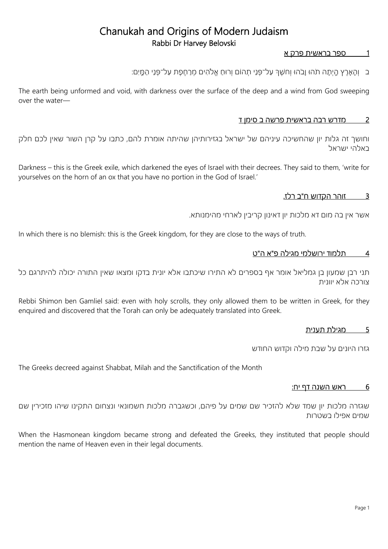## 1 ספר בראשית פרק א

ָּב וְהָאָרֶץ הֶיִתָה תֹהוּ וָבֹהוּ וְחשֶׁךְּ עַל־פָּנֵי תָהוֹם וְרוּחַ אֱלֹהִים מְרַחֶפֶת עַל־פָּנֵי הַמֶּיִם:

The earth being unformed and void, with darkness over the surface of the deep and a wind from God sweeping over the water—

### 2 מדרש רבה בראשית פרשה ב סימן ד

וחושך זה גלות יון שהחשיכה עיניהם של ישראל בגזירותיהן שהיתה אומרת להם, כתבו על קרן השור שאין לכם חלק באלהי ישראל

Darkness – this is the Greek exile, which darkened the eyes of Israel with their decrees. They said to them, 'write for yourselves on the horn of an ox that you have no portion in the God of Israel.'

## 3 זוהר הקדוש ח"ב רלז.

אשר אין בה מום דא מלכות יון דאינון קריבין לארחי מהימנותא.

In which there is no blemish: this is the Greek kingdom, for they are close to the ways of truth.

#### 4 ת למוד ירושלמי מגילה פ"א ה"ט

תני רבן שמעון בן גמליאל אומר אף בספרים לא התירו שיכתבו אלא יונית בדקו ומצאו שאין התורה יכולה להיתרגם כל צורכה אלא יוונית

Rebbi Shimon ben Gamliel said: even with holy scrolls, they only allowed them to be written in Greek, for they enquired and discovered that the Torah can only be adequately translated into Greek.

## 5 מגילת תענית

גזרו היונים על שבת מילה וקדוש החודש

The Greeks decreed against Shabbat, Milah and the Sanctification of the Month

#### 6 ראש השנה דף יח:

שגזרה מלכות יון שמד שלא להזכיר שם שמים על פיהם, וכשגברה מלכות חשמונאי ונצחום התקינו שיהו מזכירין שם שמים אפילו בשטרות

When the Hasmonean kingdom became strong and defeated the Greeks, they instituted that people should mention the name of Heaven even in their legal documents.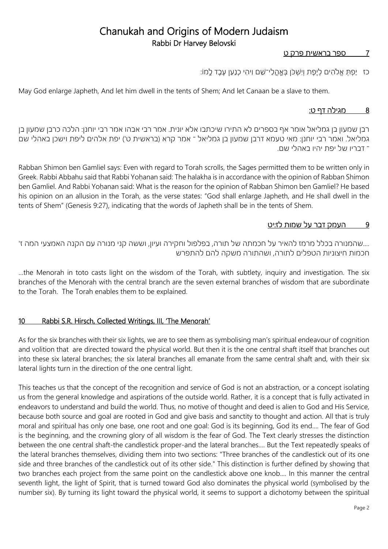### 7 ספר בראשית פרק ט

כז יַפְתְּ אֱלֹהִים לְיֶפֶת וְיִשְׁכֹּן בְּאֶהֲלֵי־שֵׁם וִיהִי כְנַעַן עֶבֶד לֵמוֹ:

May God enlarge Japheth, And let him dwell in the tents of Shem; And let Canaan be a slave to them.

### 8 מגילה דף ט:

רבן שמעון בן גמליאל אומר אף בספרים לא התירו שיכתבו אלא יונית. אמר רבי אבהו אמר רבי יוחנן: הלכה כרבן שמעון בן גמליאל. ואמר רבי יוחנן: מאי טעמא דרבן שמעון בן גמליאל ־ אמר קרא (בראשית ט') יפת אלהים ליפת וישכן באהלי שם ־ דבריו של יפת יהיו באהלי שם.

Rabban Shimon ben Gamliel says: Even with regard to Torah scrolls, the Sages permitted them to be written only in Greek. Rabbi Abbahu said that Rabbi Yoḥanan said: The halakha is in accordance with the opinion of Rabban Shimon ben Gamliel. And Rabbi Yoḥanan said: What is the reason for the opinion of Rabban Shimon ben Gamliel? He based his opinion on an allusion in the Torah, as the verse states: "God shall enlarge Japheth, and He shall dwell in the tents of Shem" (Genesis 9:27), indicating that the words of Japheth shall be in the tents of Shem.

#### 9 העמק דבר על שמות לז:יט

....שהמנורה בכלל מרמז להאיר על חכמתה של תורה, בפלפול וחקירה ועיון, וששה קני מנורה עם הקנה האמצעי המה ז' חכמות חיצוניות הטפלים לתורה, ושהתורה משקה להם להתפרש

…the Menorah in toto casts light on the wisdom of the Torah, with subtlety, inquiry and investigation. The six branches of the Menorah with the central branch are the seven external branches of wisdom that are subordinate to the Torah. The Torah enables them to be explained.

#### 10 Rabbi S.R. Hirsch, Collected Writings, III, 'The Menorah'

As for the six branches with their six lights, we are to see them as symbolising man's spiritual endeavour of cognition and volition that are directed toward the physical world. But then it is the one central shaft itself that branches out into these six lateral branches; the six lateral branches all emanate from the same central shaft and, with their six lateral lights turn in the direction of the one central light.

This teaches us that the concept of the recognition and service of God is not an abstraction, or a concept isolating us from the general knowledge and aspirations of the outside world. Rather, it is a concept that is fully activated in endeavors to understand and build the world. Thus, no motive of thought and deed is alien to God and His Service, because both source and goal are rooted in God and give basis and sanctity to thought and action. All that is truly moral and spiritual has only one base, one root and one goal: God is its beginning, God its end.... The fear of God is the beginning, and the crowning glory of all wisdom is the fear of God. The Text clearly stresses the distinction between the one central shaft-the candlestick proper-and the lateral branches.... But the Text repeatedly speaks of the lateral branches themselves, dividing them into two sections: "Three branches of the candlestick out of its one side and three branches of the candlestick out of its other side." This distinction is further defined by showing that two branches each project from the same point on the candlestick above one knob.... In this manner the central seventh light, the light of Spirit, that is turned toward God also dominates the physical world (symbolised by the number six). By turning its light toward the physical world, it seems to support a dichotomy between the spiritual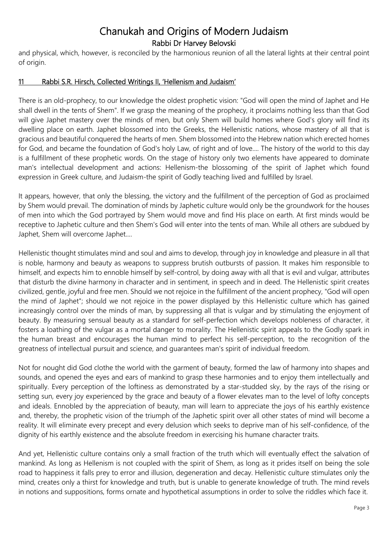and physical, which, however, is reconciled by the harmonious reunion of all the lateral lights at their central point of origin.

## 11 Rabbi S.R. Hirsch, Collected Writings II, 'Hellenism and Judaism'

There is an old-prophecy, to our knowledge the oldest prophetic vision: "God will open the mind of Japhet and He shall dwell in the tents of Shem". If we grasp the meaning of the prophecy, it proclaims nothing less than that God will give Japhet mastery over the minds of men, but only Shem will build homes where God's glory will find its dwelling place on earth. Japhet blossomed into the Greeks, the Hellenistic nations, whose mastery of all that is gracious and beautiful conquered the hearts of men. Shem blossomed into the Hebrew nation which erected homes for God, and became the foundation of God's holy Law, of right and of love.... The history of the world to this day is a fulfillment of these prophetic words. On the stage of history only two elements have appeared to dominate man's intellectual development and actions: Hellenism-the blossoming of the spirit of Japhet which found expression in Greek culture, and Judaism-the spirit of Godly teaching lived and fulfilled by Israel.

It appears, however, that only the blessing, the victory and the fulfillment of the perception of God as proclaimed by Shem would prevail. The domination of minds by Japhetic culture would only be the groundwork for the houses of men into which the God portrayed by Shem would move and find His place on earth. At first minds would be receptive to Japhetic culture and then Shem's God will enter into the tents of man. While all others are subdued by Japhet, Shem will overcome Japhet....

Hellenistic thought stimulates mind and soul and aims to develop, through joy in knowledge and pleasure in all that is noble, harmony and beauty as weapons to suppress brutish outbursts of passion. It makes him responsible to himself, and expects him to ennoble himself by self-control, by doing away with all that is evil and vulgar, attributes that disturb the divine harmony in character and in sentiment, in speech and in deed. The Hellenistic spirit creates civilized, gentle, joyful and free men. Should we not rejoice in the fulfillment of the ancient prophecy, "God will open the mind of Japhet"; should we not rejoice in the power displayed by this Hellenistic culture which has gained increasingly control over the minds of man, by suppressing all that is vulgar and by stimulating the enjoyment of beauty. By measuring sensual beauty as a standard for self-perfection which develops nobleness of character, it fosters a loathing of the vulgar as a mortal danger to morality. The Hellenistic spirit appeals to the Godly spark in the human breast and encourages the human mind to perfect his self-perception, to the recognition of the greatness of intellectual pursuit and science, and guarantees man's spirit of individual freedom.

Not for nought did God clothe the world with the garment of beauty, formed the law of harmony into shapes and sounds, and opened the eyes and ears of mankind to grasp these harmonies and to enjoy them intellectually and spiritually. Every perception of the loftiness as demonstrated by a star-studded sky, by the rays of the rising or setting sun, every joy experienced by the grace and beauty of a flower elevates man to the level of lofty concepts and ideals. Ennobled by the appreciation of beauty, man will learn to appreciate the joys of his earthly existence and, thereby, the prophetic vision of the triumph of the Japhetic spirit over all other states of mind will become a reality. It will eliminate every precept and every delusion which seeks to deprive man of his self-confidence, of the dignity of his earthly existence and the absolute freedom in exercising his humane character traits.

And yet, Hellenistic culture contains only a small fraction of the truth which will eventually effect the salvation of mankind. As long as Hellenism is not coupled with the spirit of Shem, as long as it prides itself on being the sole road to happiness it falls prey to error and illusion, degeneration and decay. Hellenistic culture stimulates only the mind, creates only a thirst for knowledge and truth, but is unable to generate knowledge of truth. The mind revels in notions and suppositions, forms ornate and hypothetical assumptions in order to solve the riddles which face it.